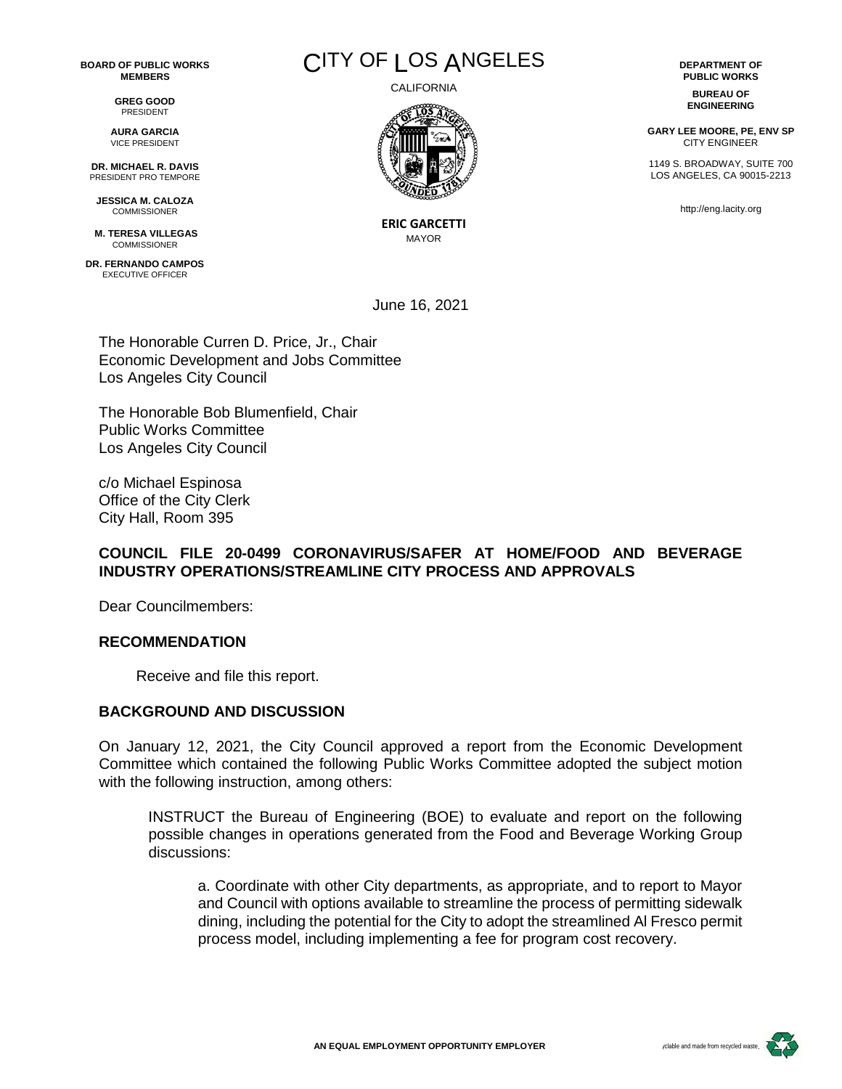**BOARD OF PUBLIC WORKS MEMBERS**

> **GREG GOOD** PRESIDENT

**AURA GARCIA** VICE PRESIDENT

**DR. MICHAEL R. DAVIS** PRESIDENT PRO TEMPORE

**JESSICA M. CALOZA** COMMISSIONER

**M. TERESA VILLEGAS COMMISSIONER** 

**DR. FERNANDO CAMPOS** EXECUTIVE OFFICER



CALIFORNIA



**ERIC GARCETTI** MAYOR

June 16, 2021

The Honorable Curren D. Price, Jr., Chair Economic Development and Jobs Committee Los Angeles City Council

The Honorable Bob Blumenfield, Chair Public Works Committee Los Angeles City Council

c/o Michael Espinosa Office of the City Clerk City Hall, Room 395

## **COUNCIL FILE 20-0499 CORONAVIRUS/SAFER AT HOME/FOOD AND BEVERAGE INDUSTRY OPERATIONS/STREAMLINE CITY PROCESS AND APPROVALS**

Dear Councilmembers:

## **RECOMMENDATION**

Receive and file this report.

## **BACKGROUND AND DISCUSSION**

On January 12, 2021, the City Council approved a report from the Economic Development Committee which contained the following Public Works Committee adopted the subject motion with the following instruction, among others:

INSTRUCT the Bureau of Engineering (BOE) to evaluate and report on the following possible changes in operations generated from the Food and Beverage Working Group discussions:

a. Coordinate with other City departments, as appropriate, and to report to Mayor and Council with options available to streamline the process of permitting sidewalk dining, including the potential for the City to adopt the streamlined Al Fresco permit process model, including implementing a fee for program cost recovery.

**DEPARTMENT OF PUBLIC WORKS BUREAU OF**

**ENGINEERING**

**GARY LEE MOORE, PE, ENV SP** CITY ENGINEER

1149 S. BROADWAY, SUITE 700 LOS ANGELES, CA 90015-2213

http://eng.lacity.org